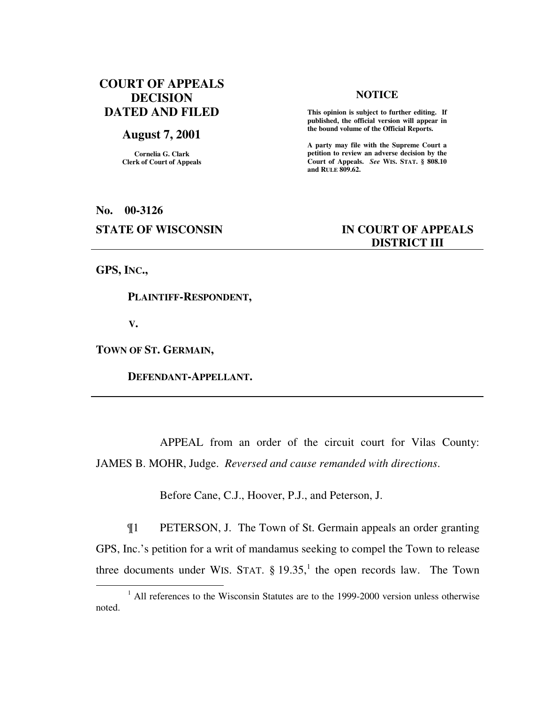# **COURT OF APPEALS DECISION DATED AND FILED**

## **August 7, 2001**

**Cornelia G. Clark Clerk of Court of Appeals**

#### **NOTICE**

 **This opinion is subject to further editing. If published, the official version will appear in the bound volume of the Official Reports.** 

**A party may file with the Supreme Court a petition to review an adverse decision by the Court of Appeals.** *See* **WIS. STAT. § 808.10 and RULE 809.62.** 

**No. 00-3126** 

## **STATE OF WISCONSIN IN COURT OF APPEALS DISTRICT III**

**GPS, INC.,** 

 $\overline{a}$ 

 **PLAINTIFF-RESPONDENT,** 

 **V.** 

**TOWN OF ST. GERMAIN,** 

 **DEFENDANT-APPELLANT.** 

 APPEAL from an order of the circuit court for Vilas County: JAMES B. MOHR, Judge. *Reversed and cause remanded with directions*.

Before Cane, C.J., Hoover, P.J., and Peterson, J.

¶1 PETERSON, J. The Town of St. Germain appeals an order granting GPS, Inc.'s petition for a writ of mandamus seeking to compel the Town to release three documents under WIS. STAT.  $\S$  19.35,<sup>1</sup> the open records law. The Town

<sup>&</sup>lt;sup>1</sup> All references to the Wisconsin Statutes are to the 1999-2000 version unless otherwise noted.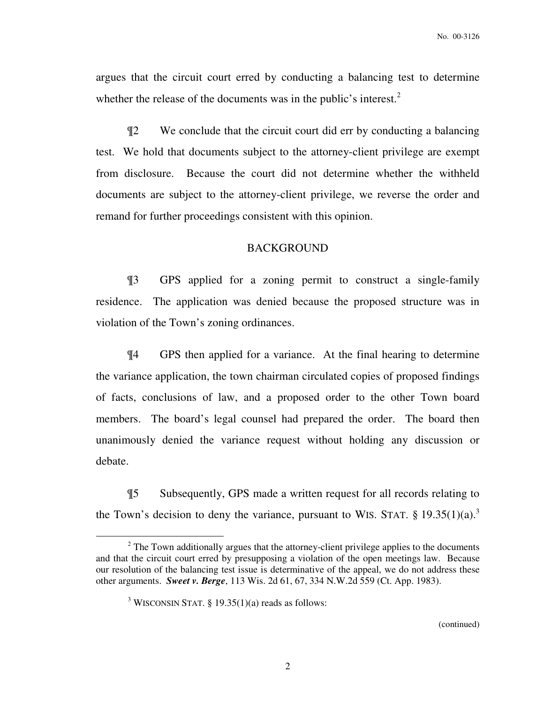argues that the circuit court erred by conducting a balancing test to determine whether the release of the documents was in the public's interest.<sup>2</sup>

¶2 We conclude that the circuit court did err by conducting a balancing test. We hold that documents subject to the attorney-client privilege are exempt from disclosure. Because the court did not determine whether the withheld documents are subject to the attorney-client privilege, we reverse the order and remand for further proceedings consistent with this opinion.

### BACKGROUND

¶3 GPS applied for a zoning permit to construct a single-family residence. The application was denied because the proposed structure was in violation of the Town's zoning ordinances.

¶4 GPS then applied for a variance. At the final hearing to determine the variance application, the town chairman circulated copies of proposed findings of facts, conclusions of law, and a proposed order to the other Town board members. The board's legal counsel had prepared the order. The board then unanimously denied the variance request without holding any discussion or debate.

¶5 Subsequently, GPS made a written request for all records relating to the Town's decision to deny the variance, pursuant to WIS. STAT.  $\S 19.35(1)(a)$ .<sup>3</sup>

 $\overline{a}$ 

 $2$  The Town additionally argues that the attorney-client privilege applies to the documents and that the circuit court erred by presupposing a violation of the open meetings law. Because our resolution of the balancing test issue is determinative of the appeal, we do not address these other arguments. *Sweet v. Berge*, 113 Wis. 2d 61, 67, 334 N.W.2d 559 (Ct. App. 1983).

<sup>&</sup>lt;sup>3</sup> WISCONSIN STAT.  $\S$  19.35(1)(a) reads as follows: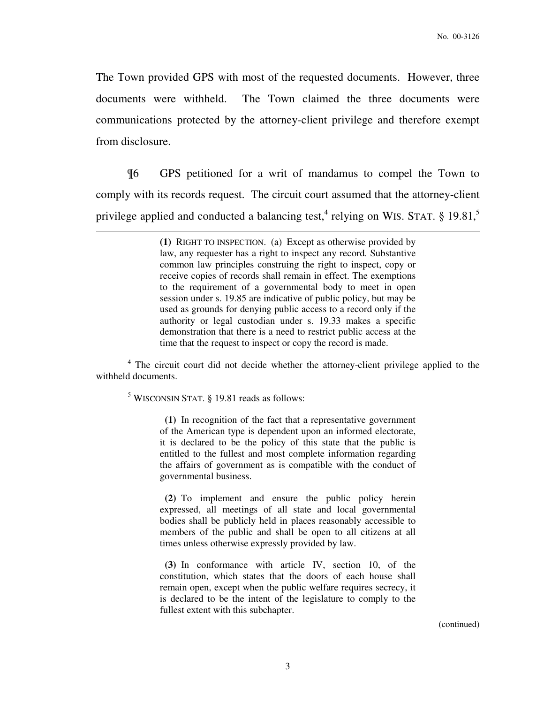The Town provided GPS with most of the requested documents. However, three documents were withheld. The Town claimed the three documents were communications protected by the attorney-client privilege and therefore exempt from disclosure.

¶6 GPS petitioned for a writ of mandamus to compel the Town to comply with its records request. The circuit court assumed that the attorney-client privilege applied and conducted a balancing test,<sup>4</sup> relying on WIS. STAT. § 19.81,<sup>5</sup>

> **(1)** RIGHT TO INSPECTION. (a) Except as otherwise provided by law, any requester has a right to inspect any record. Substantive common law principles construing the right to inspect, copy or receive copies of records shall remain in effect. The exemptions to the requirement of a governmental body to meet in open session under s. 19.85 are indicative of public policy, but may be used as grounds for denying public access to a record only if the authority or legal custodian under s. 19.33 makes a specific demonstration that there is a need to restrict public access at the time that the request to inspect or copy the record is made.

<sup>4</sup> The circuit court did not decide whether the attorney-client privilege applied to the withheld documents.

5 WISCONSIN STAT. § 19.81 reads as follows:

 $\overline{a}$ 

 **(1)** In recognition of the fact that a representative government of the American type is dependent upon an informed electorate, it is declared to be the policy of this state that the public is entitled to the fullest and most complete information regarding the affairs of government as is compatible with the conduct of governmental business.

 **(2)** To implement and ensure the public policy herein expressed, all meetings of all state and local governmental bodies shall be publicly held in places reasonably accessible to members of the public and shall be open to all citizens at all times unless otherwise expressly provided by law.

 **(3)** In conformance with article IV, section 10, of the constitution, which states that the doors of each house shall remain open, except when the public welfare requires secrecy, it is declared to be the intent of the legislature to comply to the fullest extent with this subchapter.

(continued)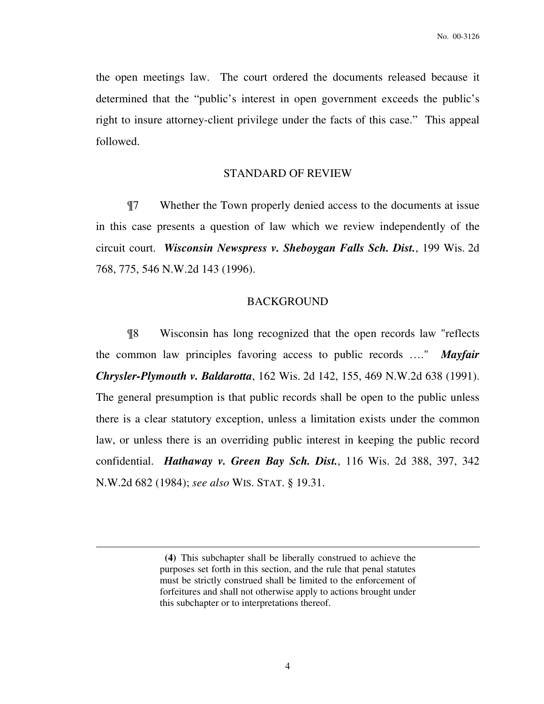the open meetings law. The court ordered the documents released because it determined that the "public's interest in open government exceeds the public's right to insure attorney-client privilege under the facts of this case." This appeal followed.

### STANDARD OF REVIEW

¶7 Whether the Town properly denied access to the documents at issue in this case presents a question of law which we review independently of the circuit court. *Wisconsin Newspress v. Sheboygan Falls Sch. Dist.*, 199 Wis. 2d 768, 775, 546 N.W.2d 143 (1996).

#### BACKGROUND

¶8 Wisconsin has long recognized that the open records law "reflects the common law principles favoring access to public records …." *Mayfair Chrysler-Plymouth v. Baldarotta*, 162 Wis. 2d 142, 155, 469 N.W.2d 638 (1991). The general presumption is that public records shall be open to the public unless there is a clear statutory exception, unless a limitation exists under the common law, or unless there is an overriding public interest in keeping the public record confidential. *Hathaway v. Green Bay Sch. Dist.*, 116 Wis. 2d 388, 397, 342 N.W.2d 682 (1984); *see also* WIS. STAT. § 19.31.

 $\overline{a}$ 

**(4)** This subchapter shall be liberally construed to achieve the purposes set forth in this section, and the rule that penal statutes must be strictly construed shall be limited to the enforcement of forfeitures and shall not otherwise apply to actions brought under this subchapter or to interpretations thereof.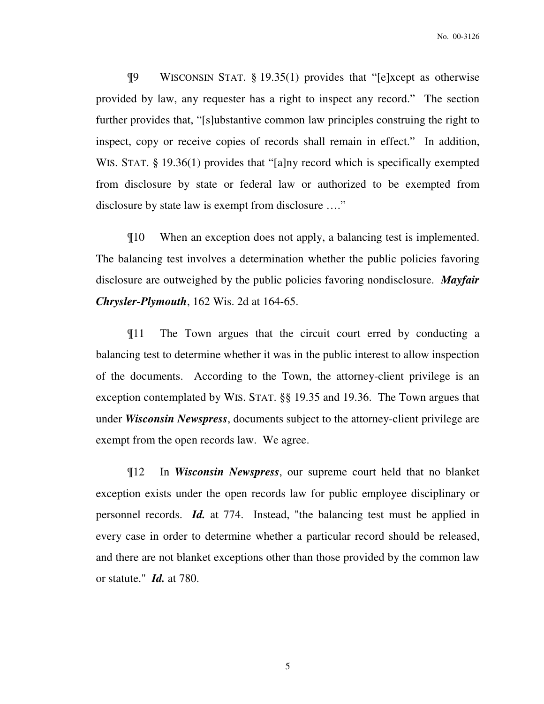¶9 WISCONSIN STAT. § 19.35(1) provides that "[e]xcept as otherwise provided by law, any requester has a right to inspect any record." The section further provides that, "[s]ubstantive common law principles construing the right to inspect, copy or receive copies of records shall remain in effect." In addition, WIS. STAT. § 19.36(1) provides that "[a]ny record which is specifically exempted from disclosure by state or federal law or authorized to be exempted from disclosure by state law is exempt from disclosure …."

¶10 When an exception does not apply, a balancing test is implemented. The balancing test involves a determination whether the public policies favoring disclosure are outweighed by the public policies favoring nondisclosure. *Mayfair Chrysler-Plymouth*, 162 Wis. 2d at 164-65.

¶11 The Town argues that the circuit court erred by conducting a balancing test to determine whether it was in the public interest to allow inspection of the documents. According to the Town, the attorney-client privilege is an exception contemplated by WIS. STAT. §§ 19.35 and 19.36. The Town argues that under *Wisconsin Newspress*, documents subject to the attorney-client privilege are exempt from the open records law. We agree.

¶12 In *Wisconsin Newspress*, our supreme court held that no blanket exception exists under the open records law for public employee disciplinary or personnel records. *Id.* at 774. Instead, "the balancing test must be applied in every case in order to determine whether a particular record should be released, and there are not blanket exceptions other than those provided by the common law or statute." *Id.* at 780.

5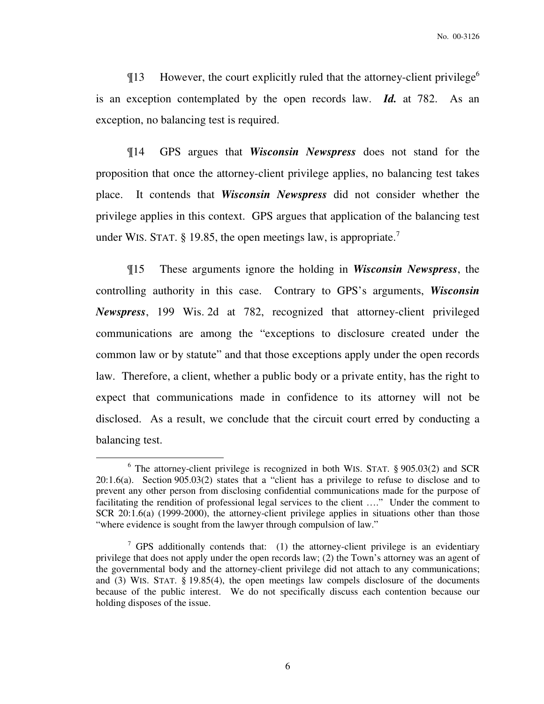$\P$ 13 However, the court explicitly ruled that the attorney-client privilege<sup>6</sup> is an exception contemplated by the open records law. *Id.* at 782. As an exception, no balancing test is required.

¶14 GPS argues that *Wisconsin Newspress* does not stand for the proposition that once the attorney-client privilege applies, no balancing test takes place. It contends that *Wisconsin Newspress* did not consider whether the privilege applies in this context. GPS argues that application of the balancing test under WIS. STAT. § 19.85, the open meetings law, is appropriate.<sup>7</sup>

¶15 These arguments ignore the holding in *Wisconsin Newspress*, the controlling authority in this case. Contrary to GPS's arguments, *Wisconsin Newspress*, 199 Wis. 2d at 782, recognized that attorney-client privileged communications are among the "exceptions to disclosure created under the common law or by statute" and that those exceptions apply under the open records law. Therefore, a client, whether a public body or a private entity, has the right to expect that communications made in confidence to its attorney will not be disclosed. As a result, we conclude that the circuit court erred by conducting a balancing test.

 $\overline{a}$ 

<sup>&</sup>lt;sup>6</sup> The attorney-client privilege is recognized in both WIS. STAT. § 905.03(2) and SCR 20:1.6(a). Section 905.03(2) states that a "client has a privilege to refuse to disclose and to prevent any other person from disclosing confidential communications made for the purpose of facilitating the rendition of professional legal services to the client …." Under the comment to SCR 20:1.6(a) (1999-2000), the attorney-client privilege applies in situations other than those "where evidence is sought from the lawyer through compulsion of law."

<sup>&</sup>lt;sup>7</sup> GPS additionally contends that: (1) the attorney-client privilege is an evidentiary privilege that does not apply under the open records law; (2) the Town's attorney was an agent of the governmental body and the attorney-client privilege did not attach to any communications; and (3) WIS. STAT. § 19.85(4), the open meetings law compels disclosure of the documents because of the public interest. We do not specifically discuss each contention because our holding disposes of the issue.